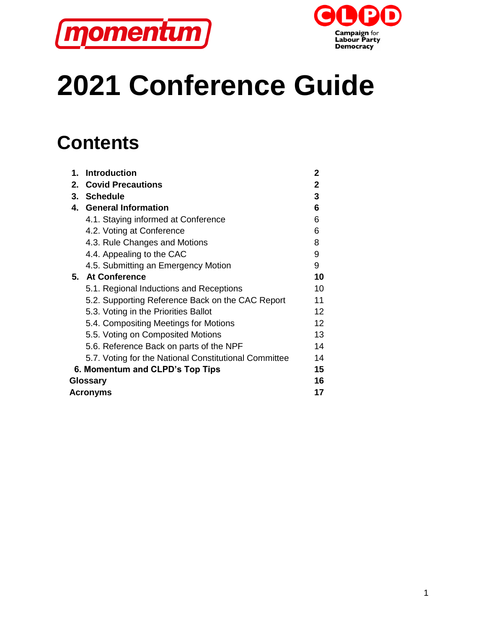



# **2021 Conference Guide**

# **Contents**

| 1.                              | <b>Introduction</b>                                   | 2                 |  |
|---------------------------------|-------------------------------------------------------|-------------------|--|
|                                 | 2. Covid Precautions                                  | $\mathbf{2}$      |  |
|                                 | 3. Schedule                                           | 3                 |  |
|                                 | 4. General Information                                | 6                 |  |
|                                 | 4.1. Staying informed at Conference                   | 6                 |  |
|                                 | 4.2. Voting at Conference                             | 6                 |  |
|                                 | 4.3. Rule Changes and Motions                         | 8                 |  |
|                                 | 4.4. Appealing to the CAC                             | 9                 |  |
|                                 | 4.5. Submitting an Emergency Motion                   | 9                 |  |
|                                 | 5. At Conference                                      | 10                |  |
|                                 | 5.1. Regional Inductions and Receptions               | 10                |  |
|                                 | 5.2. Supporting Reference Back on the CAC Report      | 11                |  |
|                                 | 5.3. Voting in the Priorities Ballot                  | $12 \overline{ }$ |  |
|                                 | 5.4. Compositing Meetings for Motions                 | 12                |  |
|                                 | 5.5. Voting on Composited Motions                     | 13                |  |
|                                 | 5.6. Reference Back on parts of the NPF               | 14                |  |
|                                 | 5.7. Voting for the National Constitutional Committee | 14                |  |
| 6. Momentum and CLPD's Top Tips |                                                       |                   |  |
|                                 | Glossary                                              |                   |  |
| <b>Acronyms</b>                 |                                                       |                   |  |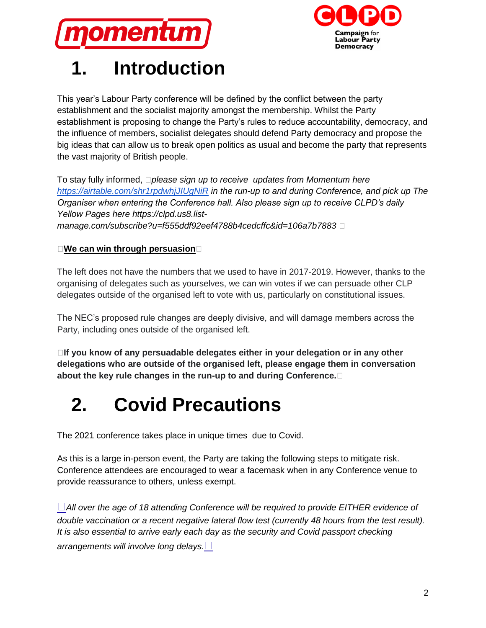



# **1. Introduction**

This year's Labour Party conference will be defined by the conflict between the party establishment and the socialist majority amongst the membership. Whilst the Party establishment is proposing to change the Party's rules to reduce accountability, democracy, and the influence of members, socialist delegates should defend Party democracy and propose the big ideas that can allow us to break open politics as usual and become the party that represents the vast majority of British people.

To stay fully informed, *please sign up to receive updates from Momentum her[e](https://airtable.com/shr1rpdwhjJIUgNiR) <https://airtable.com/shr1rpdwhjJIUgNiR> in the run-up to and during Conference, and pick up The Organiser when entering the Conference hall. Also please sign up to receive CLPD's daily Yellow Pages here https://clpd.us8.listmanage.com/subscribe?u=f555ddf92eef4788b4cedcffc&id=106a7b7883* 

#### **We can win through persuasion**

The left does not have the numbers that we used to have in 2017-2019. However, thanks to the organising of delegates such as yourselves, we can win votes if we can persuade other CLP delegates outside of the organised left to vote with us, particularly on constitutional issues.

The NEC's proposed rule changes are deeply divisive, and will damage members across the Party, including ones outside of the organised left.

**If you know of any persuadable delegates either in your delegation or in any other delegations who are outside of the organised left, please engage them in conversation about the key rule changes in the run-up to and during Conference.**

# **2. Covid Precautions**

The 2021 conference takes place in unique times due to Covid.

As this is a large in-person event, the Party are taking the following steps to mitigate risk. Conference attendees are encouraged to wear a facemask when in any Conference venue to provide reassurance to others, unless exempt.

*All over the age of 18 attending Conference will be required to provide EITHER evidence of double vaccination or a recent negative lateral flow test (currently 48 hours from the test result). It is also essential to arrive early each day as the security and Covid passport checking arrangements will involve long delays.*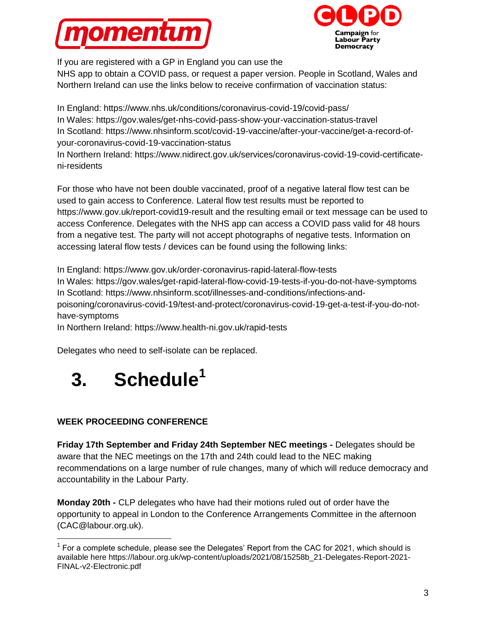



If you are registered with a GP in England you can use the NHS app to obtain a COVID pass, or request a paper version. People in Scotland, Wales and Northern Ireland can use the links below to receive confirmation of vaccination status:

In England: https://www.nhs.uk/conditions/coronavirus-covid-19/covid-pass/ In Wales: https://gov.wales/get-nhs-covid-pass-show-your-vaccination-status-travel In Scotland: https://www.nhsinform.scot/covid-19-vaccine/after-your-vaccine/get-a-record-ofyour-coronavirus-covid-19-vaccination-status

In Northern Ireland: https://www.nidirect.gov.uk/services/coronavirus-covid-19-covid-certificateni-residents

For those who have not been double vaccinated, proof of a negative lateral flow test can be used to gain access to Conference. Lateral flow test results must be reported to https://www.gov.uk/report-covid19-result and the resulting email or text message can be used to access Conference. Delegates with the NHS app can access a COVID pass valid for 48 hours from a negative test. The party will not accept photographs of negative tests. Information on accessing lateral flow tests / devices can be found using the following links:

In England: https://www.gov.uk/order-coronavirus-rapid-lateral-flow-tests In Wales: https://gov.wales/get-rapid-lateral-flow-covid-19-tests-if-you-do-not-have-symptoms In Scotland: https://www.nhsinform.scot/illnesses-and-conditions/infections-andpoisoning/coronavirus-covid-19/test-and-protect/coronavirus-covid-19-get-a-test-if-you-do-nothave-symptoms

In Northern Ireland: https://www.health-ni.gov.uk/rapid-tests

Delegates who need to self-isolate can be replaced.



#### **WEEK PROCEEDING CONFERENCE**

 $\overline{a}$ 

**Friday 17th September and Friday 24th September NEC meetings -** Delegates should be aware that the NEC meetings on the 17th and 24th could lead to the NEC making recommendations on a large number of rule changes, many of which will reduce democracy and accountability in the Labour Party.

**Monday 20th -** CLP delegates who have had their motions ruled out of order have the opportunity to appeal in London to the Conference Arrangements Committee in the afternoon (CAC@labour.org.uk).

 $1$  For a complete schedule, please see the Delegates' Report from the CAC for 2021, which should is available here https://labour.org.uk/wp-content/uploads/2021/08/15258b\_21-Delegates-Report-2021- FINAL-v2-Electronic.pdf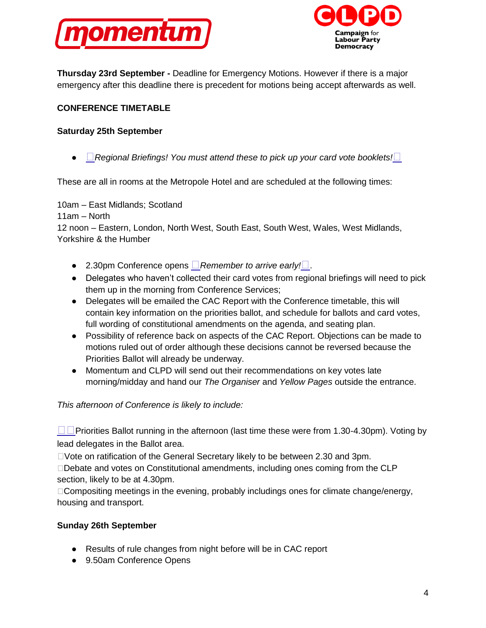



**Thursday 23rd September -** Deadline for Emergency Motions. However if there is a major emergency after this deadline there is precedent for motions being accept afterwards as well.

#### **CONFERENCE TIMETABLE**

#### **Saturday 25th September**

● *Regional Briefings! You must attend these to pick up your card vote booklets!* 

These are all in rooms at the Metropole Hotel and are scheduled at the following times:

10am – East Midlands; Scotland

11am – North

12 noon – Eastern, London, North West, South East, South West, Wales, West Midlands, Yorkshire & the Humber

- 2.30pm Conference opens **□** Remember to arrive early!□
- Delegates who haven't collected their card votes from regional briefings will need to pick them up in the morning from Conference Services;
- Delegates will be emailed the CAC Report with the Conference timetable, this will contain key information on the priorities ballot, and schedule for ballots and card votes, full wording of constitutional amendments on the agenda, and seating plan.
- Possibility of reference back on aspects of the CAC Report. Objections can be made to motions ruled out of order although these decisions cannot be reversed because the Priorities Ballot will already be underway.
- Momentum and CLPD will send out their recommendations on key votes late morning/midday and hand our *The Organiser* and *Yellow Pages* outside the entrance.

*This afternoon of Conference is likely to include:*

 $\Box$ Priorities Ballot running in the afternoon (last time these were from 1.30-4.30pm). Voting by lead delegates in the Ballot area.

Vote on ratification of the General Secretary likely to be between 2.30 and 3pm.

Debate and votes on Constitutional amendments, including ones coming from the CLP section, likely to be at 4.30pm.

 $\Box$  Compositing meetings in the evening, probably includings ones for climate change/energy, housing and transport.

#### **Sunday 26th September**

- Results of rule changes from night before will be in CAC report
- 9.50am Conference Opens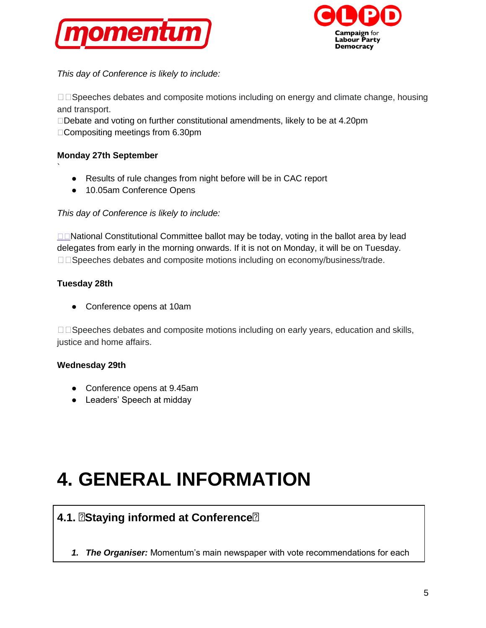



*This day of Conference is likely to include:*

 $\Box$  Speeches debates and composite motions including on energy and climate change, housing and transport.

□Debate and voting on further constitutional amendments, likely to be at 4.20pm □ Compositing meetings from 6.30pm

#### **Monday 27th September**

- Results of rule changes from night before will be in CAC report
- 10.05am Conference Opens

#### *This day of Conference is likely to include:*

□□NationalConstitutional Committee ballot may be today, voting in the ballot area by lead delegates from early in the morning onwards. If it is not on Monday, it will be on Tuesday. □□Speeches debates and composite motions including on economy/business/trade.

#### **Tuesday 28th**

`

● Conference opens at 10am

 $\Box$  Speeches debates and composite motions including on early years, education and skills, justice and home affairs.

#### **Wednesday 29th**

- Conference opens at 9.45am
- Leaders' Speech at midday

# **4. GENERAL INFORMATION**

### **4.1. Staying informed at Conference**

*1. The Organiser:* Momentum's main newspaper with vote recommendations for each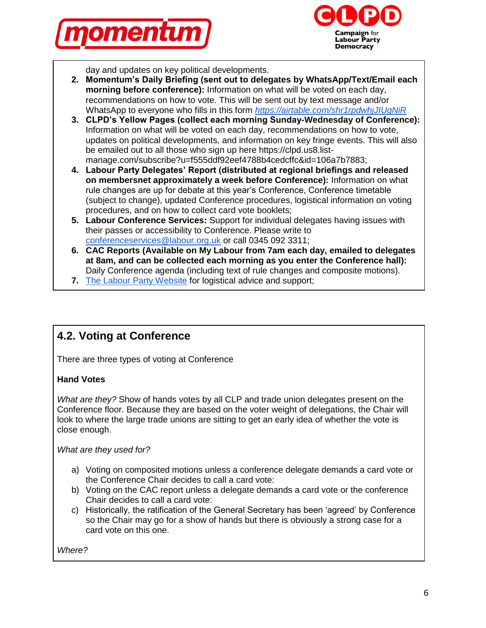



day and updates on key political developments.

- **2. Momentum's Daily Briefing (sent out to delegates by WhatsApp/Text/Email each morning before conference):** Information on what will be voted on each day, recommendations on how to vote. This will be sent out by text message and/or WhatsApp to everyone who fills in this form *<https://airtable.com/shr1rpdwhjJIUgNiR>*
- **3. CLPD's Yellow Pages (collect each morning Sunday-Wednesday of Conference):**  Information on what will be voted on each day, recommendations on how to vote, updates on political developments, and information on key fringe events. This will also be emailed out to all those who sign up here https://clpd.us8.listmanage.com/subscribe?u=f555ddf92eef4788b4cedcffc&id=106a7b7883;
- **4. Labour Party Delegates' Report (distributed at regional briefings and released on membersnet approximately a week before Conference):** Information on what rule changes are up for debate at this year's Conference, Conference timetable (subject to change), updated Conference procedures, logistical information on voting procedures, and on how to collect card vote booklets;
- **5. Labour Conference Services:** Support for individual delegates having issues with their passes or accessibility to Conference. Please write to [conferenceservices@labour.org.uk](mailto:conferenceservices@labour.org.uk) or call 0345 092 3311;
- **6. CAC Reports (Available on My Labour from 7am each day, emailed to delegates at 8am, and can be collected each morning as you enter the Conference hall):**  Daily Conference agenda (including text of rule changes and composite motions).
- **7.** [The Labour Party Website](http://www.labour.org.uk/pages/annual-conference-2017) for logistical advice and support:

### **4.2. Voting at Conference**

There are three types of voting at Conference

#### **Hand Votes**

*What are they?* Show of hands votes by all CLP and trade union delegates present on the Conference floor. Because they are based on the voter weight of delegations, the Chair will look to where the large trade unions are sitting to get an early idea of whether the vote is close enough.

*What are they used for?*

- a) Voting on composited motions unless a conference delegate demands a card vote or the Conference Chair decides to call a card vote:
- b) Voting on the CAC report unless a delegate demands a card vote or the conference Chair decides to call a card vote:
- c) Historically, the ratification of the General Secretary has been 'agreed' by Conference so the Chair may go for a show of hands but there is obviously a strong case for a card vote on this one.

*Where?*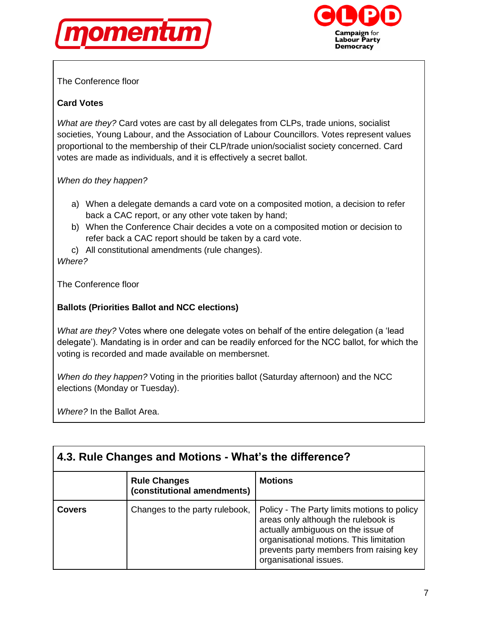



The Conference floor

#### **Card Votes**

*What are they?* Card votes are cast by all delegates from CLPs, trade unions, socialist societies, Young Labour, and the Association of Labour Councillors. Votes represent values proportional to the membership of their CLP/trade union/socialist society concerned. Card votes are made as individuals, and it is effectively a secret ballot.

*When do they happen?*

- a) When a delegate demands a card vote on a composited motion, a decision to refer back a CAC report, or any other vote taken by hand;
- b) When the Conference Chair decides a vote on a composited motion or decision to refer back a CAC report should be taken by a card vote.
- c) All constitutional amendments (rule changes).

*Where?*

The Conference floor

#### **Ballots (Priorities Ballot and NCC elections)**

*What are they?* Votes where one delegate votes on behalf of the entire delegation (a 'lead delegate'). Mandating is in order and can be readily enforced for the NCC ballot, for which the voting is recorded and made available on membersnet.

*When do they happen?* Voting in the priorities ballot (Saturday afternoon) and the NCC elections (Monday or Tuesday).

*Where?* In the Ballot Area.

| 4.3. Rule Changes and Motions - What's the difference? |                                                    |                                                                                                                                                                                                                                          |  |  |
|--------------------------------------------------------|----------------------------------------------------|------------------------------------------------------------------------------------------------------------------------------------------------------------------------------------------------------------------------------------------|--|--|
|                                                        | <b>Rule Changes</b><br>(constitutional amendments) | <b>Motions</b>                                                                                                                                                                                                                           |  |  |
| <b>Covers</b>                                          | Changes to the party rulebook,                     | Policy - The Party limits motions to policy<br>areas only although the rulebook is<br>actually ambiguous on the issue of<br>organisational motions. This limitation<br>prevents party members from raising key<br>organisational issues. |  |  |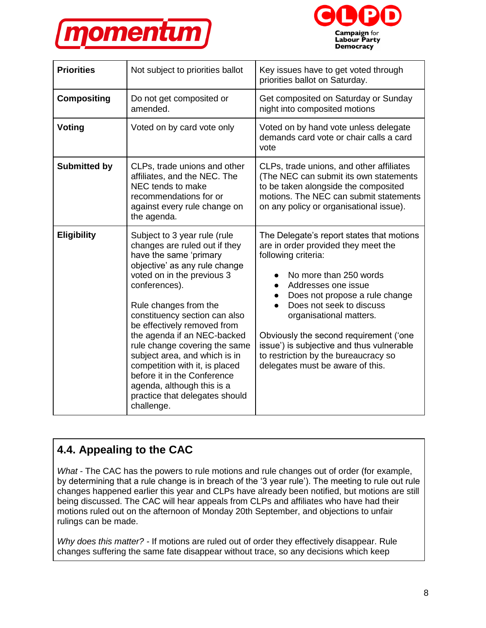



| <b>Priorities</b>   | Not subject to priorities ballot                                                                                                                                                                                                                                                                                                                                                                                                                                                                                 | Key issues have to get voted through<br>priorities ballot on Saturday.                                                                                                                                                                                                                                                                                                                                               |
|---------------------|------------------------------------------------------------------------------------------------------------------------------------------------------------------------------------------------------------------------------------------------------------------------------------------------------------------------------------------------------------------------------------------------------------------------------------------------------------------------------------------------------------------|----------------------------------------------------------------------------------------------------------------------------------------------------------------------------------------------------------------------------------------------------------------------------------------------------------------------------------------------------------------------------------------------------------------------|
| <b>Compositing</b>  | Do not get composited or<br>amended.                                                                                                                                                                                                                                                                                                                                                                                                                                                                             | Get composited on Saturday or Sunday<br>night into composited motions                                                                                                                                                                                                                                                                                                                                                |
| Voting              | Voted on by card vote only                                                                                                                                                                                                                                                                                                                                                                                                                                                                                       | Voted on by hand vote unless delegate<br>demands card vote or chair calls a card<br>vote                                                                                                                                                                                                                                                                                                                             |
| <b>Submitted by</b> | CLPs, trade unions and other<br>affiliates, and the NEC. The<br>NEC tends to make<br>recommendations for or<br>against every rule change on<br>the agenda.                                                                                                                                                                                                                                                                                                                                                       | CLPs, trade unions, and other affiliates<br>(The NEC can submit its own statements<br>to be taken alongside the composited<br>motions. The NEC can submit statements<br>on any policy or organisational issue).                                                                                                                                                                                                      |
| <b>Eligibility</b>  | Subject to 3 year rule (rule<br>changes are ruled out if they<br>have the same 'primary<br>objective' as any rule change<br>voted on in the previous 3<br>conferences).<br>Rule changes from the<br>constituency section can also<br>be effectively removed from<br>the agenda if an NEC-backed<br>rule change covering the same<br>subject area, and which is in<br>competition with it, is placed<br>before it in the Conference<br>agenda, although this is a<br>practice that delegates should<br>challenge. | The Delegate's report states that motions<br>are in order provided they meet the<br>following criteria:<br>No more than 250 words<br>Addresses one issue<br>Does not propose a rule change<br>Does not seek to discuss<br>organisational matters.<br>Obviously the second requirement ('one<br>issue') is subjective and thus vulnerable<br>to restriction by the bureaucracy so<br>delegates must be aware of this. |

# **4.4. Appealing to the CAC**

*What* - The CAC has the powers to rule motions and rule changes out of order (for example, by determining that a rule change is in breach of the '3 year rule'). The meeting to rule out rule changes happened earlier this year and CLPs have already been notified, but motions are still being discussed. The CAC will hear appeals from CLPs and affiliates who have had their motions ruled out on the afternoon of Monday 20th September, and objections to unfair rulings can be made.

*Why does this matter? -* If motions are ruled out of order they effectively disappear. Rule changes suffering the same fate disappear without trace, so any decisions which keep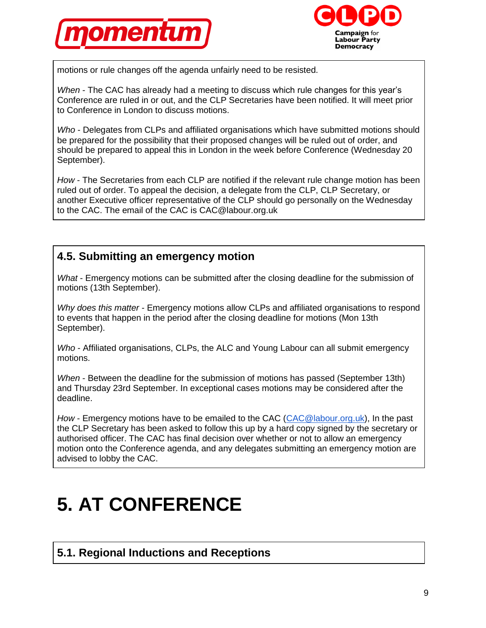



motions or rule changes off the agenda unfairly need to be resisted.

*When* - The CAC has already had a meeting to discuss which rule changes for this year's Conference are ruled in or out, and the CLP Secretaries have been notified. It will meet prior to Conference in London to discuss motions.

*Who* - Delegates from CLPs and affiliated organisations which have submitted motions should be prepared for the possibility that their proposed changes will be ruled out of order, and should be prepared to appeal this in London in the week before Conference (Wednesday 20 September).

*How* - The Secretaries from each CLP are notified if the relevant rule change motion has been ruled out of order. To appeal the decision, a delegate from the CLP, CLP Secretary, or another Executive officer representative of the CLP should go personally on the Wednesday to the CAC. The email of the CAC is CAC@labour.org.uk

### **4.5. Submitting an emergency motion**

*What* - Emergency motions can be submitted after the closing deadline for the submission of motions (13th September).

*Why does this matter* - Emergency motions allow CLPs and affiliated organisations to respond to events that happen in the period after the closing deadline for motions (Mon 13th September).

*Who* - Affiliated organisations, CLPs, the ALC and Young Labour can all submit emergency motions.

*When* - Between the deadline for the submission of motions has passed (September 13th) and Thursday 23rd September. In exceptional cases motions may be considered after the deadline.

*How* - Emergency motions have to be emailed to the CAC [\(CAC@labour.org.uk\)](mailto:CAC@labour.org.uk), In the past the CLP Secretary has been asked to follow this up by a hard copy signed by the secretary or authorised officer. The CAC has final decision over whether or not to allow an emergency motion onto the Conference agenda, and any delegates submitting an emergency motion are advised to lobby the CAC.

# **5. AT CONFERENCE**

### **5.1. Regional Inductions and Receptions**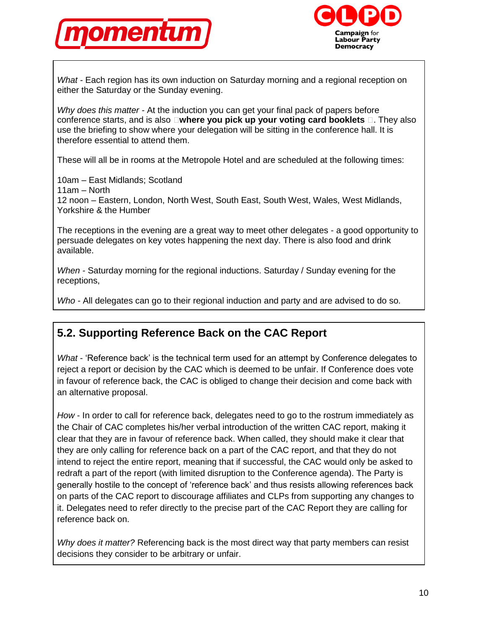



*What -* Each region has its own induction on Saturday morning and a regional reception on either the Saturday or the Sunday evening.

*Why does this matter -* At the induction you can get your final pack of papers before conference starts, and is also **where you pick up your voting card booklets**  $\Box$ . They also use the briefing to show where your delegation will be sitting in the conference hall. It is therefore essential to attend them.

These will all be in rooms at the Metropole Hotel and are scheduled at the following times:

10am – East Midlands; Scotland 11am – North 12 noon – Eastern, London, North West, South East, South West, Wales, West Midlands, Yorkshire & the Humber

The receptions in the evening are a great way to meet other delegates - a good opportunity to persuade delegates on key votes happening the next day. There is also food and drink available.

*When -* Saturday morning for the regional inductions. Saturday / Sunday evening for the receptions,

*Who -* All delegates can go to their regional induction and party and are advised to do so.

### **5.2. Supporting Reference Back on the CAC Report**

*What* - 'Reference back' is the technical term used for an attempt by Conference delegates to reject a report or decision by the CAC which is deemed to be unfair. If Conference does vote in favour of reference back, the CAC is obliged to change their decision and come back with an alternative proposal.

*How* - In order to call for reference back, delegates need to go to the rostrum immediately as the Chair of CAC completes his/her verbal introduction of the written CAC report, making it clear that they are in favour of reference back. When called, they should make it clear that they are only calling for reference back on a part of the CAC report, and that they do not intend to reject the entire report, meaning that if successful, the CAC would only be asked to redraft a part of the report (with limited disruption to the Conference agenda). The Party is generally hostile to the concept of 'reference back' and thus resists allowing references back on parts of the CAC report to discourage affiliates and CLPs from supporting any changes to it. Delegates need to refer directly to the precise part of the CAC Report they are calling for reference back on.

*Why does it matter?* Referencing back is the most direct way that party members can resist decisions they consider to be arbitrary or unfair.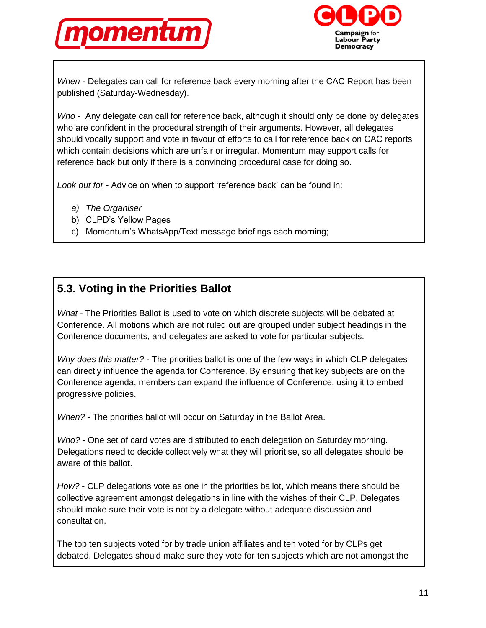



*When* - Delegates can call for reference back every morning after the CAC Report has been published (Saturday-Wednesday).

*Who* - Any delegate can call for reference back, although it should only be done by delegates who are confident in the procedural strength of their arguments. However, all delegates should vocally support and vote in favour of efforts to call for reference back on CAC reports which contain decisions which are unfair or irregular. Momentum may support calls for reference back but only if there is a convincing procedural case for doing so.

*Look out for -* Advice on when to support 'reference back' can be found in:

- *a) The Organiser*
- b) CLPD's Yellow Pages
- c) Momentum's WhatsApp/Text message briefings each morning;

### **5.3. Voting in the Priorities Ballot**

*What* - The Priorities Ballot is used to vote on which discrete subjects will be debated at Conference. All motions which are not ruled out are grouped under subject headings in the Conference documents, and delegates are asked to vote for particular subjects.

*Why does this matter?* - The priorities ballot is one of the few ways in which CLP delegates can directly influence the agenda for Conference. By ensuring that key subjects are on the Conference agenda, members can expand the influence of Conference, using it to embed progressive policies.

*When?* - The priorities ballot will occur on Saturday in the Ballot Area.

*Who?* - One set of card votes are distributed to each delegation on Saturday morning. Delegations need to decide collectively what they will prioritise, so all delegates should be aware of this ballot.

*How?* - CLP delegations vote as one in the priorities ballot, which means there should be collective agreement amongst delegations in line with the wishes of their CLP. Delegates should make sure their vote is not by a delegate without adequate discussion and consultation.

The top ten subjects voted for by trade union affiliates and ten voted for by CLPs get debated. Delegates should make sure they vote for ten subjects which are not amongst the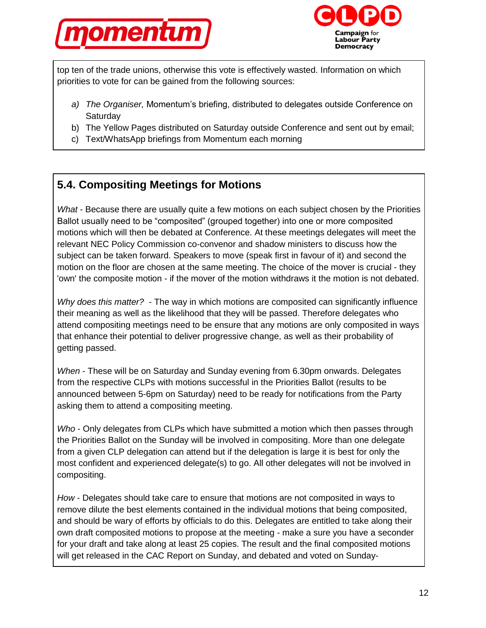



top ten of the trade unions, otherwise this vote is effectively wasted. Information on which priorities to vote for can be gained from the following sources:

- *a) The Organiser,* Momentum's briefing, distributed to delegates outside Conference on **Saturday**
- b) The Yellow Pages distributed on Saturday outside Conference and sent out by email;
- c) Text/WhatsApp briefings from Momentum each morning

### **5.4. Compositing Meetings for Motions**

*What* - Because there are usually quite a few motions on each subject chosen by the Priorities Ballot usually need to be "composited" (grouped together) into one or more composited motions which will then be debated at Conference. At these meetings delegates will meet the relevant NEC Policy Commission co-convenor and shadow ministers to discuss how the subject can be taken forward. Speakers to move (speak first in favour of it) and second the motion on the floor are chosen at the same meeting. The choice of the mover is crucial - they 'own' the composite motion - if the mover of the motion withdraws it the motion is not debated.

*Why does this matter?* - The way in which motions are composited can significantly influence their meaning as well as the likelihood that they will be passed. Therefore delegates who attend compositing meetings need to be ensure that any motions are only composited in ways that enhance their potential to deliver progressive change, as well as their probability of getting passed.

*When* - These will be on Saturday and Sunday evening from 6.30pm onwards. Delegates from the respective CLPs with motions successful in the Priorities Ballot (results to be announced between 5-6pm on Saturday) need to be ready for notifications from the Party asking them to attend a compositing meeting.

*Who* - Only delegates from CLPs which have submitted a motion which then passes through the Priorities Ballot on the Sunday will be involved in compositing. More than one delegate from a given CLP delegation can attend but if the delegation is large it is best for only the most confident and experienced delegate(s) to go. All other delegates will not be involved in compositing.

*How* - Delegates should take care to ensure that motions are not composited in ways to remove dilute the best elements contained in the individual motions that being composited, and should be wary of efforts by officials to do this. Delegates are entitled to take along their own draft composited motions to propose at the meeting - make a sure you have a seconder for your draft and take along at least 25 copies. The result and the final composited motions will get released in the CAC Report on Sunday, and debated and voted on Sunday-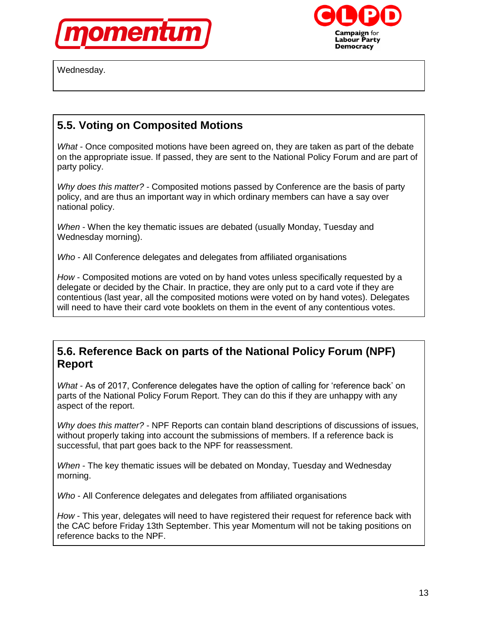





### **5.5. Voting on Composited Motions**

*What* - Once composited motions have been agreed on, they are taken as part of the debate on the appropriate issue. If passed, they are sent to the National Policy Forum and are part of party policy.

*Why does this matter?* - Composited motions passed by Conference are the basis of party policy, and are thus an important way in which ordinary members can have a say over national policy.

*When* - When the key thematic issues are debated (usually Monday, Tuesday and Wednesday morning).

*Who* - All Conference delegates and delegates from affiliated organisations

*How* - Composited motions are voted on by hand votes unless specifically requested by a delegate or decided by the Chair. In practice, they are only put to a card vote if they are contentious (last year, all the composited motions were voted on by hand votes). Delegates will need to have their card vote booklets on them in the event of any contentious votes.

#### **5.6. Reference Back on parts of the National Policy Forum (NPF) Report**

*What* - As of 2017, Conference delegates have the option of calling for 'reference back' on parts of the National Policy Forum Report. They can do this if they are unhappy with any aspect of the report.

*Why does this matter?* - NPF Reports can contain bland descriptions of discussions of issues, without properly taking into account the submissions of members. If a reference back is successful, that part goes back to the NPF for reassessment.

*When* - The key thematic issues will be debated on Monday, Tuesday and Wednesday morning.

*Who* - All Conference delegates and delegates from affiliated organisations

*How* - This year, delegates will need to have registered their request for reference back with the CAC before Friday 13th September. This year Momentum will not be taking positions on reference backs to the NPF.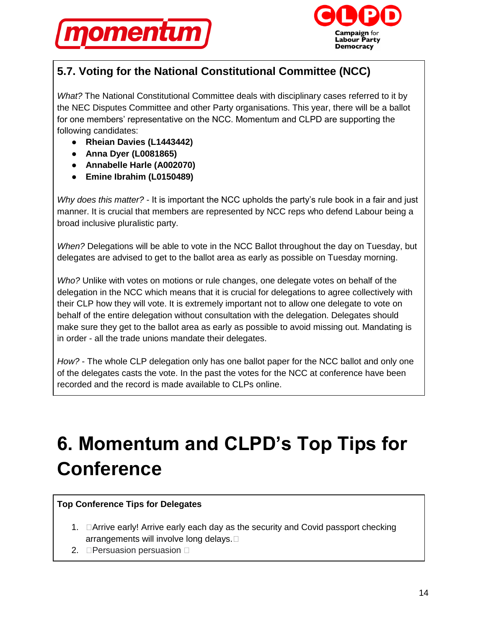



# **5.7. Voting for the National Constitutional Committee (NCC)**

*What?* The National Constitutional Committee deals with disciplinary cases referred to it by the NEC Disputes Committee and other Party organisations. This year, there will be a ballot for one members' representative on the NCC. Momentum and CLPD are supporting the following candidates:

- **Rheian Davies (L1443442)**
- **Anna Dyer (L0081865)**
- **Annabelle Harle (A002070)**
- **Emine Ibrahim (L0150489)**

*Why does this matter?* - It is important the NCC upholds the party's rule book in a fair and just manner. It is crucial that members are represented by NCC reps who defend Labour being a broad inclusive pluralistic party.

*When?* Delegations will be able to vote in the NCC Ballot throughout the day on Tuesday, but delegates are advised to get to the ballot area as early as possible on Tuesday morning.

*Who?* Unlike with votes on motions or rule changes, one delegate votes on behalf of the delegation in the NCC which means that it is crucial for delegations to agree collectively with their CLP how they will vote. It is extremely important not to allow one delegate to vote on behalf of the entire delegation without consultation with the delegation. Delegates should make sure they get to the ballot area as early as possible to avoid missing out. Mandating is in order - all the trade unions mandate their delegates.

*How?* - The whole CLP delegation only has one ballot paper for the NCC ballot and only one of the delegates casts the vote. In the past the votes for the NCC at conference have been recorded and the record is made available to CLPs online.

# **6. Momentum and CLPD's Top Tips for Conference**

#### **Top Conference Tips for Delegates**

- 1. **DArrive early! Arrive early each day as the security and Covid passport checking** arrangements will involve long delays.  $\square$
- 2. **Persuasion persuasion**  $\Box$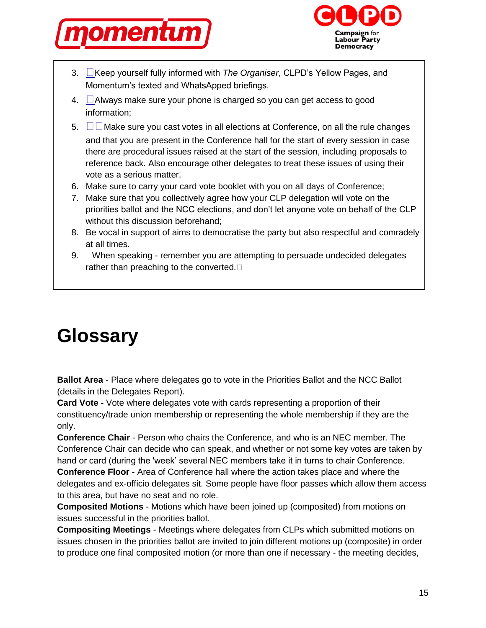



- 3. Keep yourself fully informed with *The Organiser*, CLPD's Yellow Pages, and Momentum's texted and WhatsApped briefings.
- 4.  $\Box$  Always make sure your phone is charged so you can get access to good information;
- 5. $\square$  Make sure you cast votes in all elections at Conference, on all the rule changes and that you are present in the Conference hall for the start of every session in case there are procedural issues raised at the start of the session, including proposals to reference back. Also encourage other delegates to treat these issues of using their vote as a serious matter.
- 6. Make sure to carry your card vote booklet with you on all days of Conference;
- 7. Make sure that you collectively agree how your CLP delegation will vote on the priorities ballot and the NCC elections, and don't let anyone vote on behalf of the CLP without this discussion beforehand;
- 8. Be vocal in support of aims to democratise the party but also respectful and comradely at all times.
- 9. When speaking remember you are attempting to persuade undecided delegates rather than preaching to the converted.  $\square$

# **Glossary**

**Ballot Area** - Place where delegates go to vote in the Priorities Ballot and the NCC Ballot (details in the Delegates Report).

**Card Vote -** Vote where delegates vote with cards representing a proportion of their constituency/trade union membership or representing the whole membership if they are the only.

**Conference Chair** - Person who chairs the Conference, and who is an NEC member. The Conference Chair can decide who can speak, and whether or not some key votes are taken by hand or card (during the 'week' several NEC members take it in turns to chair Conference. **Conference Floor** - Area of Conference hall where the action takes place and where the

delegates and ex-officio delegates sit. Some people have floor passes which allow them access to this area, but have no seat and no role.

**Composited Motions** - Motions which have been joined up (composited) from motions on issues successful in the priorities ballot.

**Compositing Meetings** - Meetings where delegates from CLPs which submitted motions on issues chosen in the priorities ballot are invited to join different motions up (composite) in order to produce one final composited motion (or more than one if necessary - the meeting decides,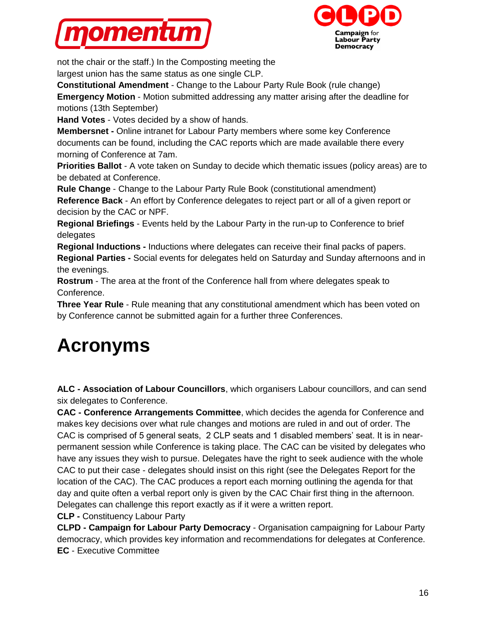



not the chair or the staff.) In the Composting meeting the largest union has the same status as one single CLP.

**Constitutional Amendment** - Change to the Labour Party Rule Book (rule change)

**Emergency Motion** - Motion submitted addressing any matter arising after the deadline for motions (13th September)

**Hand Votes** - Votes decided by a show of hands.

**Membersnet -** Online intranet for Labour Party members where some key Conference documents can be found, including the CAC reports which are made available there every morning of Conference at 7am.

**Priorities Ballot** - A vote taken on Sunday to decide which thematic issues (policy areas) are to be debated at Conference.

**Rule Change** - Change to the Labour Party Rule Book (constitutional amendment) **Reference Back** - An effort by Conference delegates to reject part or all of a given report or decision by the CAC or NPF.

**Regional Briefings** - Events held by the Labour Party in the run-up to Conference to brief delegates

**Regional Inductions -** Inductions where delegates can receive their final packs of papers. **Regional Parties -** Social events for delegates held on Saturday and Sunday afternoons and in the evenings.

**Rostrum** - The area at the front of the Conference hall from where delegates speak to Conference.

**Three Year Rule** - Rule meaning that any constitutional amendment which has been voted on by Conference cannot be submitted again for a further three Conferences.

# **Acronyms**

**ALC - Association of Labour Councillors**, which organisers Labour councillors, and can send six delegates to Conference.

**CAC - Conference Arrangements Committee**, which decides the agenda for Conference and makes key decisions over what rule changes and motions are ruled in and out of order. The CAC is comprised of 5 general seats, 2 CLP seats and 1 disabled members' seat. It is in nearpermanent session while Conference is taking place. The CAC can be visited by delegates who have any issues they wish to pursue. Delegates have the right to seek audience with the whole CAC to put their case - delegates should insist on this right (see the Delegates Report for the location of the CAC). The CAC produces a report each morning outlining the agenda for that day and quite often a verbal report only is given by the CAC Chair first thing in the afternoon. Delegates can challenge this report exactly as if it were a written report.

**CLP -** Constituency Labour Party

**CLPD - Campaign for Labour Party Democracy** - Organisation campaigning for Labour Party democracy, which provides key information and recommendations for delegates at Conference. **EC** - Executive Committee